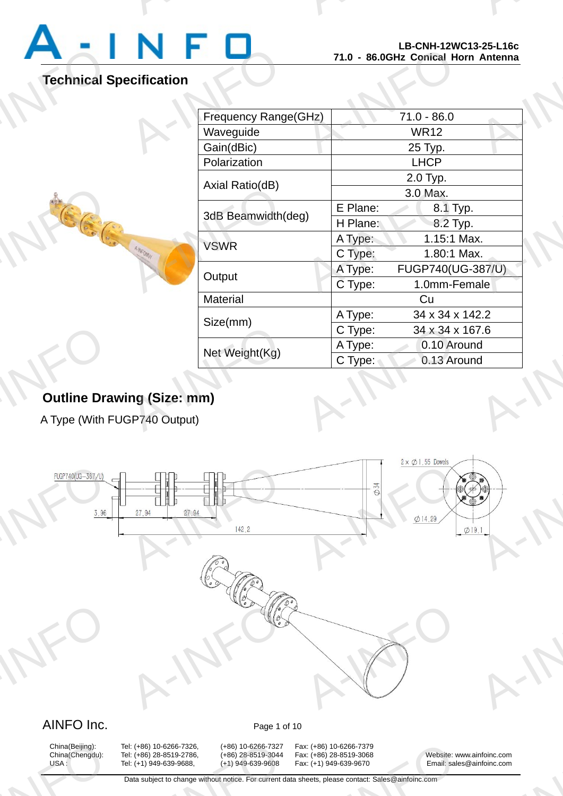

A-INFO

A-INFORMATION CONTINUES.

# **Technical Specification**

A-INFO

|                |                      |          | LD=UN∏=1ZWU1J=ZJ=L10U<br>71.0 - 86.0GHz Conical Horn Antenna |
|----------------|----------------------|----------|--------------------------------------------------------------|
| ecification    |                      |          |                                                              |
|                |                      |          |                                                              |
| <b>HAIFOMY</b> | Frequency Range(GHz) |          | $71.0 - 86.0$                                                |
|                | Waveguide            |          | <b>WR12</b>                                                  |
|                | Gain(dBic)           |          | 25 Typ.                                                      |
|                | Polarization         |          | <b>LHCP</b>                                                  |
|                | Axial Ratio(dB)      |          | 2.0 Typ.                                                     |
|                |                      |          | 3.0 Max.                                                     |
|                | 3dB Beamwidth(deg)   | E Plane: | 8.1 Typ.                                                     |
|                |                      | H Plane: | 8.2 Typ.                                                     |
|                | <b>VSWR</b>          | A Type:  | 1.15:1 Max.                                                  |
|                |                      | C Type:  | 1.80:1 Max.                                                  |
|                | Output               | A Type:  | FUGP740(UG-387/U)                                            |
|                |                      | C Type:  | 1.0mm-Female                                                 |
|                | Material             |          | Cu                                                           |
|                | Size(mm)             | A Type:  | 34 x 34 x 142.2                                              |
|                |                      | C Type:  | 34 x 34 x 167.6                                              |
|                | Net Weight(Kg)       | A Type:  | 0.10 Around                                                  |
|                |                      | C Type:  | 0.13 Around                                                  |
|                |                      |          |                                                              |
| ng (Size: mm)  |                      |          |                                                              |
|                |                      |          |                                                              |
| GP740 Output)  |                      |          |                                                              |
|                |                      |          |                                                              |

# **Outline Drawing (Size: mm)** Outline Dra<br>A Type (With F

A Type (With FUGP740 Output)



# China(Beijing):<br>China(Chengdu):<br>USA :

China(Beijing): Tel: (+86) 10-6266-7326, (+86) 10-6266-7327 Fax: (+86) 10-6266-7379<br>China(Chengdu): Tel: (+86) 28-8519-2786, (+86) 28-8519-3044 Fax: (+86) 28-8519-3068 A: (+86) 10-6266-7326, (+86) 10-6266-7327<br>A: (+86) 28-8519-2786, (+86) 28-8519-3044<br>A: (+1) 949-639-9688, (+1) 949-639-9608<br>Data subject to change without notice. For current d

x: (+86) 10-6266-7379<br>x: (+86) 28-8519-3068<br>x: (+1) 949-639-9670 Email: sale<br>heets, please contact: Sales@ainfoinc.com

China(Chengdu): Tel: (+86) 28-8519-2786, (+86) 28-8519-3044 Fax: (+86) 28-8519-3068 Website: www.ainfoinc.com USA : Tel: (+1) 949-639-9688, (+1) 949-639-9608 Fax: (+1) 949-639-9670 Email: sales@ainfoinc.com infoinc.com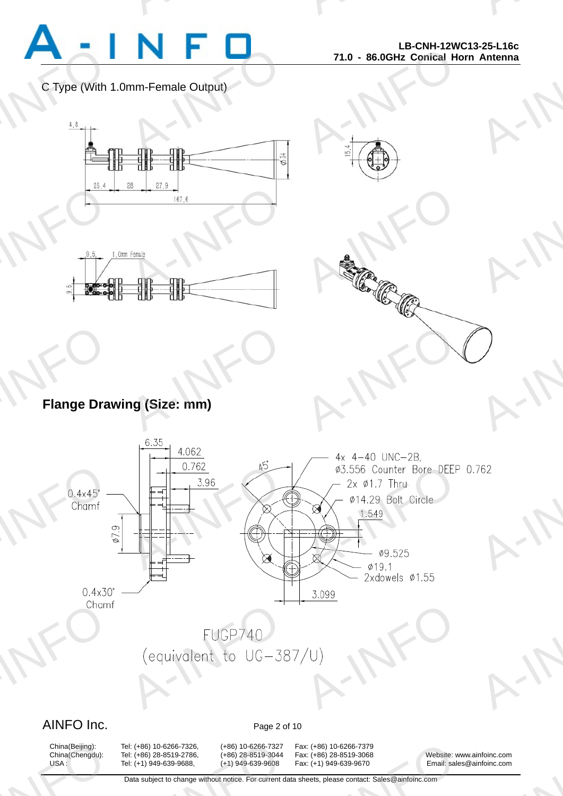

A-INFO

A-INFO

A-INFORMATION CONTINUES.

### C Type (With 1.0mm-Female Output)



A-INFORMATION CONTINUES.





# **Flange Drawing (Size: mm)** Flange Dra Note: Mary 1999

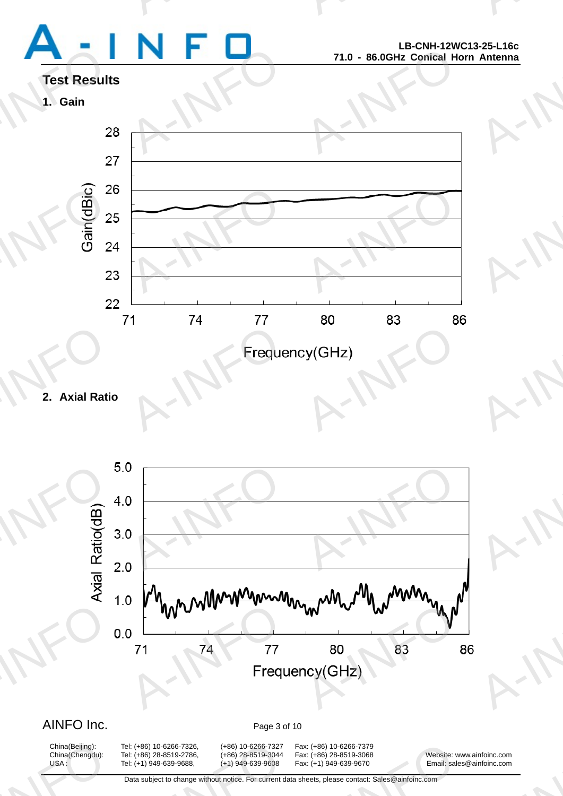# Test Result<br>1. Gain<br>2

A-INFORMATION CONTINUES.

A-INFO

A-INFO

A-INFO

A-INFORMATION CONTINUES.





**2. Axial Ratio** 



## AINFO Inc. Page 3 of 10

China(Beijing):<br>China(Chengdu):<br>USA :

A: (+86) 10-6266-7326, (+86) 10-6266-7327<br>A: (+86) 28-8519-2786, (+86) 28-8519-3044<br>A: (+1) 949-639-9688, (+1) 949-639-9608<br>Data subject to change without notice. For current d

China(Beijing): Tel: (+86) 10-6266-7326, (+86) 10-6266-7327 Fax: (+86) 10-6266-7379 x: (+86) 10-6266-7379<br>x: (+86) 28-8519-3068<br>x: (+1) 949-639-9670 Email: sale<br>heets, please contact: Sales@ainfoinc.com

China(Chengdu): Tel: (+86) 28-8519-2786, (+86) 28-8519-3044 Fax: (+86) 28-8519-3068 Website: www.ainfoinc.com USA : Tel: (+1) 949-639-9688, (+1) 949-639-9608 Fax: (+1) 949-639-9670 Email: sales@ainfoinc.com infoinc.com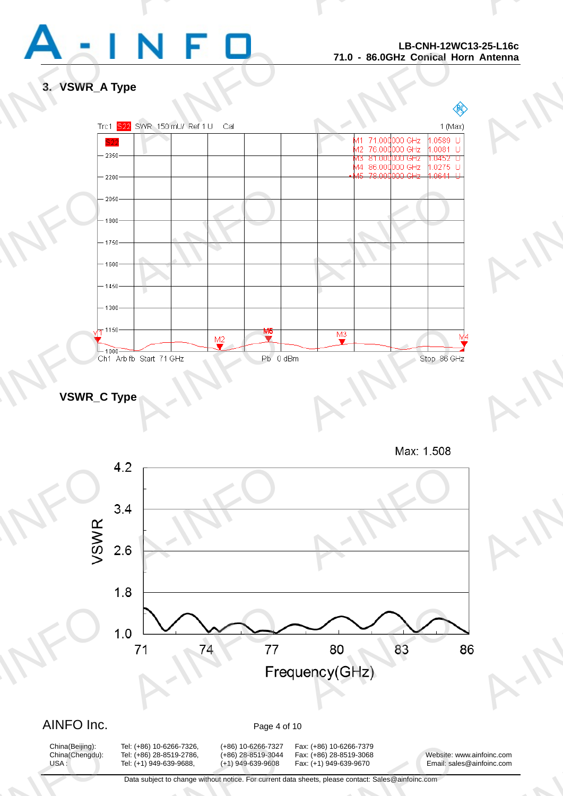

A-INFO

A-INFORMATION CONTINUES.

### **3. VSWR\_A Type**



**VSWR\_C Type** 



## AINFO Inc. Page 4 of 10

China(Beijing):<br>China(Chengdu):<br>USA :

A: (+86) 10-6266-7326, (+86) 10-6266-7327<br>A: (+86) 28-8519-2786, (+86) 28-8519-3044<br>A: (+1) 949-639-9688, (+1) 949-639-9608<br>Data subject to change without notice. For current d

China(Beijing): Tel: (+86) 10-6266-7326, (+86) 10-6266-7327 Fax: (+86) 10-6266-7379

x: (+86) 10-6266-7379<br>x: (+86) 28-8519-3068<br>x: (+1) 949-639-9670 Email: sale<br>heets, please contact: Sales@ainfoinc.com

China(Chengdu): Tel: (+86) 28-8519-2786, (+86) 28-8519-3044 Fax: (+86) 28-8519-3068 Website: www.ainfoinc.com USA : Tel: (+1) 949-639-9688, (+1) 949-639-9608 Fax: (+1) 949-639-9670 Email: sales@ainfoinc.com infoinc.com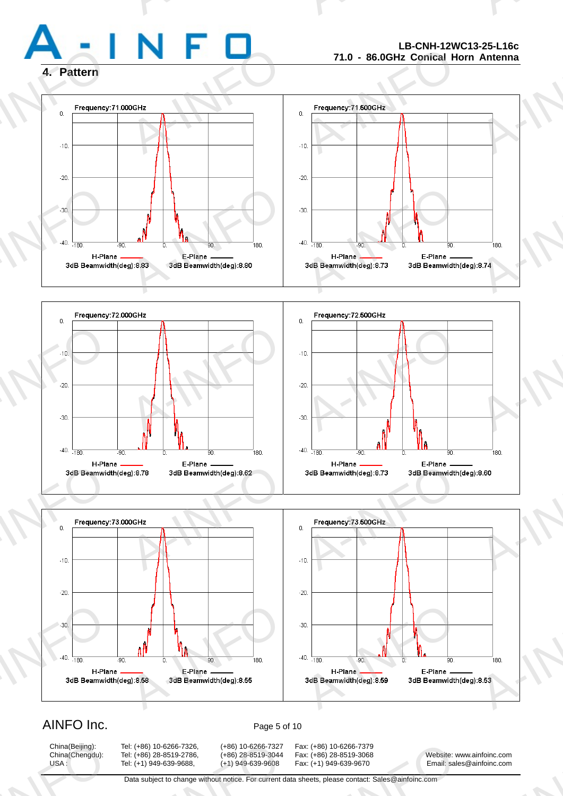

### **LB-CNH-12WC13-25-L16c 71.0 - 86.0GHz Conical Horn Antenna**

A-INFO

A-INFORMATION CONTINUES.







# AINFO Inc. Page 5 of 10

China(Beijing):<br>China(Chengdu):<br>USA :

China(Beijing): Tel: (+86) 10-6266-7326, (+86) 10-6266-7327 Fax: (+86) 10-6266-7379

A: (+86) 10-6266-7326, (+86) 10-6266-7327<br>A: (+86) 28-8519-2786, (+86) 28-8519-3044<br>A: (+1) 949-639-9688, (+1) 949-639-9608<br>Data subject to change without notice. For current d

x: (+86) 10-6266-7379<br>x: (+86) 28-8519-3068<br>x: (+1) 949-639-9670 Email: sale<br>heets, please contact: Sales@ainfoinc.com

China(Chengdu): Tel: (+86) 28-8519-2786, (+86) 28-8519-3044 Fax: (+86) 28-8519-3068 Website: www.ainfoinc.com USA : Tel: (+1) 949-639-9688, (+1) 949-639-9608 Fax: (+1) 949-639-9670 Email: sales@ainfoinc.com infoinc.com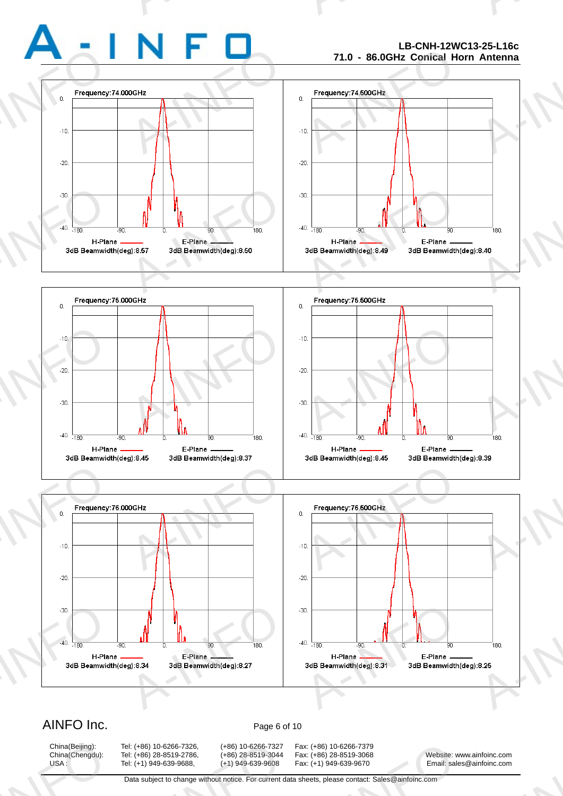### **LB-CNH-12WC13-25-L16c 71.0 - 86.0GHz Conical Horn Antenna**

A-INFO

A-INFORMATION CONTINUES.







## AINFO Inc. Page 6 of 10

China(Beijing):<br>China(Chengdu):<br>USA :

China(Beijing): Tel: (+86) 10-6266-7326, (+86) 10-6266-7327 Fax: (+86) 10-6266-7379 A: (+86) 10-6266-7326, (+86) 10-6266-7327<br>A: (+86) 28-8519-2786, (+86) 28-8519-3044<br>A: (+1) 949-639-9688, (+1) 949-639-9608<br>Data subject to change without notice. For current d

x: (+86) 10-6266-7379<br>x: (+86) 28-8519-3068<br>x: (+1) 949-639-9670 Email: sale<br>heets, please contact: Sales@ainfoinc.com

China(Chengdu): Tel: (+86) 28-8519-2786, (+86) 28-8519-3044 Fax: (+86) 28-8519-3068 Website: www.ainfoinc.com USA : Tel: (+1) 949-639-9688, (+1) 949-639-9608 Fax: (+1) 949-639-9670 Email: sales@ainfoinc.com infoinc.com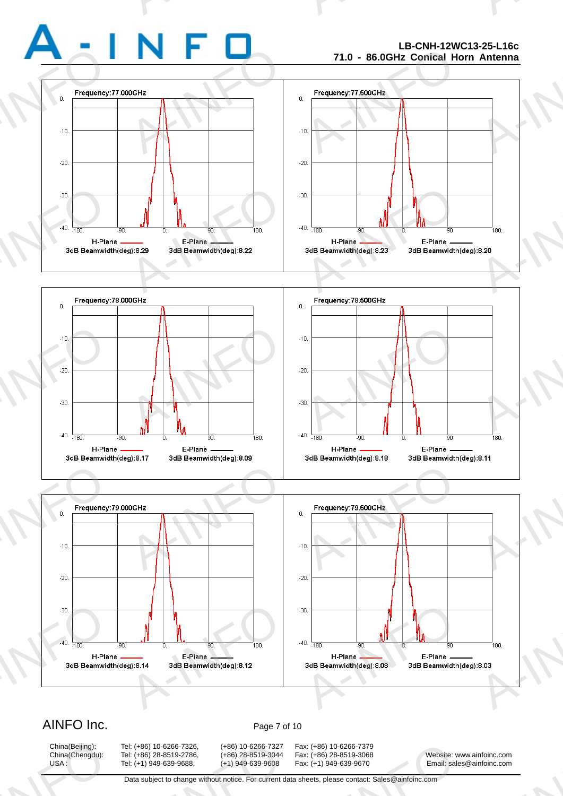### **LB-CNH-12WC13-25-L16c 71.0 - 86.0GHz Conical Horn Antenna**

A-INFO

A-INFORMATION CONTINUES.







### AINFO Inc. Page 7 of 10

China(Beijing):<br>China(Chengdu):<br>USA :

China(Beijing): Tel: (+86) 10-6266-7326, (+86) 10-6266-7327 Fax: (+86) 10-6266-7379 A: (+86) 10-6266-7326, (+86) 10-6266-7327<br>A: (+86) 28-8519-2786, (+86) 28-8519-3044<br>A: (+1) 949-639-9688, (+1) 949-639-9608<br>Data subject to change without notice. For current d

x: (+86) 10-6266-7379<br>x: (+86) 28-8519-3068<br>x: (+1) 949-639-9670 Email: sale<br>heets, please contact: Sales@ainfoinc.com

China(Chengdu): Tel: (+86) 28-8519-2786, (+86) 28-8519-3044 Fax: (+86) 28-8519-3068 Website: www.ainfoinc.com USA : Tel: (+1) 949-639-9688, (+1) 949-639-9608 Fax: (+1) 949-639-9670 Email: sales@ainfoinc.com infoinc.com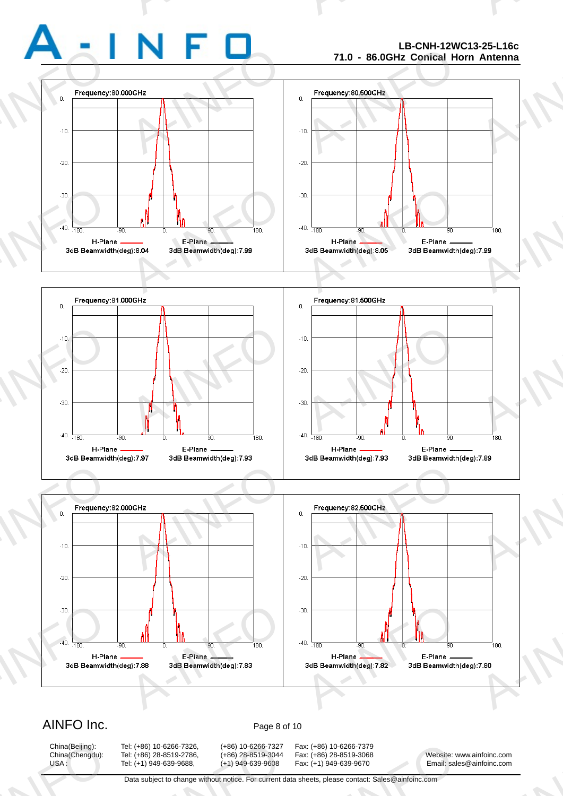### **LB-CNH-12WC13-25-L16c 71.0 - 86.0GHz Conical Horn Antenna**

A-INFO

A-INFORMATION CONTINUES.







## AINFO Inc. Page 8 of 10

China(Beijing):<br>China(Chengdu):<br>USA :

China(Beijing): Tel: (+86) 10-6266-7326, (+86) 10-6266-7327 Fax: (+86) 10-6266-7379 A: (+86) 10-6266-7326, (+86) 10-6266-7327<br>A: (+86) 28-8519-2786, (+86) 28-8519-3044<br>A: (+1) 949-639-9688, (+1) 949-639-9608<br>Data subject to change without notice. For current d

x: (+86) 10-6266-7379<br>x: (+86) 28-8519-3068<br>x: (+1) 949-639-9670 Email: sale<br>heets, please contact: Sales@ainfoinc.com

China(Chengdu): Tel: (+86) 28-8519-2786, (+86) 28-8519-3044 Fax: (+86) 28-8519-3068 Website: www.ainfoinc.com USA : Tel: (+1) 949-639-9688, (+1) 949-639-9608 Fax: (+1) 949-639-9670 Email: sales@ainfoinc.com infoinc.com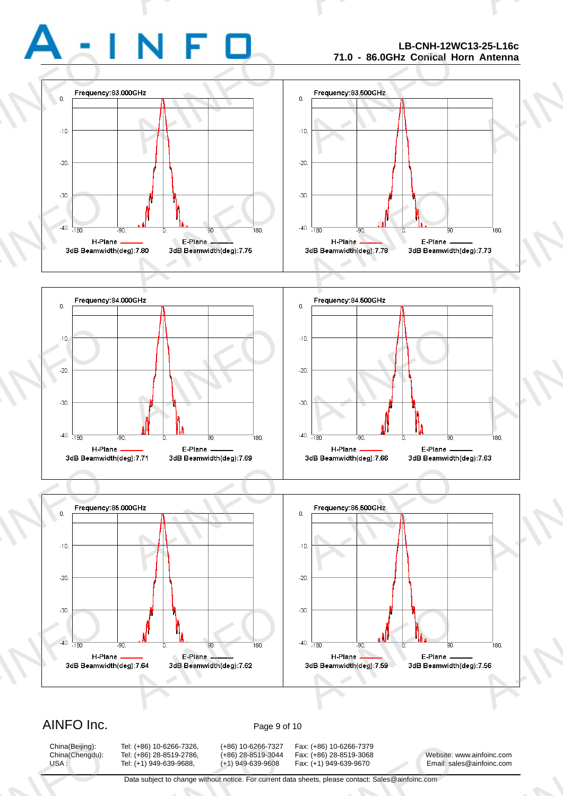### **LB-CNH-12WC13-25-L16c 71.0 - 86.0GHz Conical Horn Antenna**

A-INFO

A-INFORMATION CONTINUES.







## AINFO Inc. Page 9 of 10

China(Beijing):<br>China(Chengdu):<br>USA :

China(Beijing): Tel: (+86) 10-6266-7326, (+86) 10-6266-7327 Fax: (+86) 10-6266-7379 A: (+86) 10-6266-7326, (+86) 10-6266-7327<br>A: (+86) 28-8519-2786, (+86) 28-8519-3044<br>A: (+1) 949-639-9688, (+1) 949-639-9608<br>Data subject to change without notice. For current d

x: (+86) 10-6266-7379<br>x: (+86) 28-8519-3068<br>x: (+1) 949-639-9670 Email: sale<br>heets, please contact: Sales@ainfoinc.com

China(Chengdu): Tel: (+86) 28-8519-2786, (+86) 28-8519-3044 Fax: (+86) 28-8519-3068 Website: www.ainfoinc.com USA : Tel: (+1) 949-639-9688, (+1) 949-639-9608 Fax: (+1) 949-639-9670 Email: sales@ainfoinc.com infoinc.com